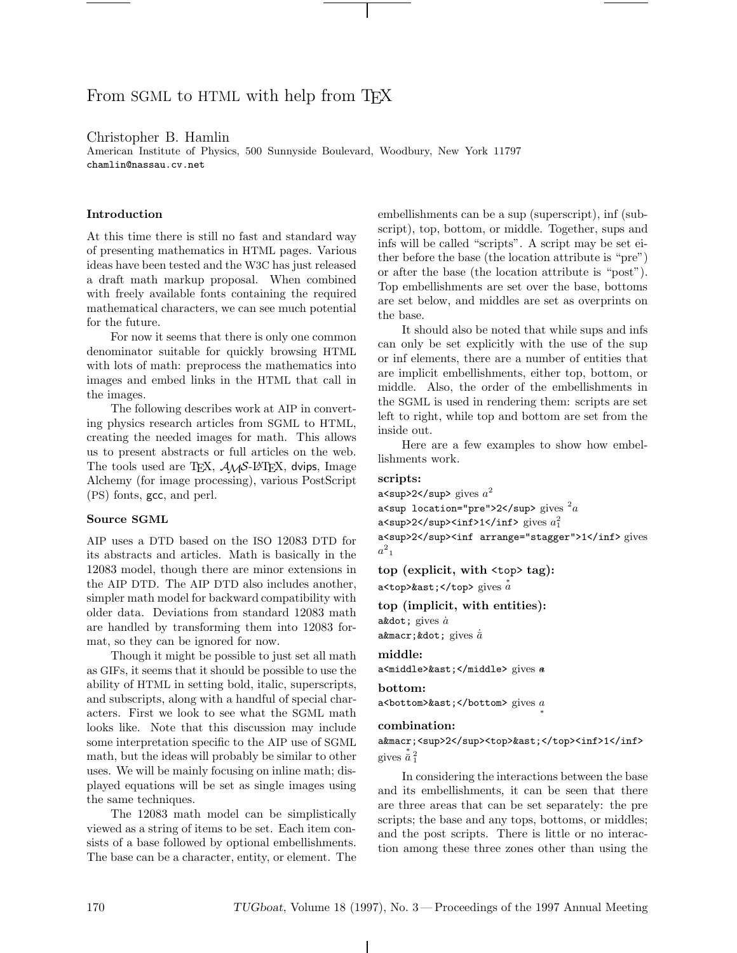# From SGML to HTML with help from T<sub>F</sub>X

Christopher B. Hamlin

American Institute of Physics, 500 Sunnyside Boulevard, Woodbury, New York 11797 chamlin@nassau.cv.net

## **Introduction**

At this time there is still no fast and standard way of presenting mathematics in HTML pages. Various ideas have been tested and the W3C has just released a draft math markup proposal. When combined with freely available fonts containing the required mathematical characters, we can see much potential for the future.

For now it seems that there is only one common denominator suitable for quickly browsing HTML with lots of math: preprocess the mathematics into images and embed links in the HTML that call in the images.

The following describes work at AIP in converting physics research articles from SGML to HTML, creating the needed images for math. This allows us to present abstracts or full articles on the web. The tools used are T<sub>E</sub>X,  $\mathcal{A}_{\mathcal{M}}\mathcal{S}$ -L<sup>A</sup>T<sub>E</sub>X, dvips, Image Alchemy (for image processing), various PostScript (PS) fonts, gcc, and perl.

#### **Source SGML**

AIP uses a DTD based on the ISO 12083 DTD for its abstracts and articles. Math is basically in the 12083 model, though there are minor extensions in the AIP DTD. The AIP DTD also includes another, simpler math model for backward compatibility with older data. Deviations from standard 12083 math are handled by transforming them into 12083 format, so they can be ignored for now.

Though it might be possible to just set all math as GIFs, it seems that it should be possible to use the ability of HTML in setting bold, italic, superscripts, and subscripts, along with a handful of special characters. First we look to see what the SGML math looks like. Note that this discussion may include some interpretation specific to the AIP use of SGML math, but the ideas will probably be similar to other uses. We will be mainly focusing on inline math; displayed equations will be set as single images using the same techniques.

The 12083 math model can be simplistically viewed as a string of items to be set. Each item consists of a base followed by optional embellishments. The base can be a character, entity, or element. The

embellishments can be a sup (superscript), inf (subscript), top, bottom, or middle. Together, sups and infs will be called "scripts". A script may be set either before the base (the location attribute is "pre") or after the base (the location attribute is "post"). Top embellishments are set over the base, bottoms are set below, and middles are set as overprints on the base.

It should also be noted that while sups and infs can only be set explicitly with the use of the sup or inf elements, there are a number of entities that are implicit embellishments, either top, bottom, or middle. Also, the order of the embellishments in the SGML is used in rendering them: scripts are set left to right, while top and bottom are set from the inside out.

Here are a few examples to show how embellishments work.

#### **scripts:**

a<sup>2</sup> gives  $a^2$ a<sup location="pre">2</sup>  $\mathrm{gives}\ ^2a$ a<sup>2</sup><inf>1</inf> gives  $a_1^2$ a<sup>2</sup><inf arrange="stagger">1</inf> gives  $a_{-1}^2$ 

**top (explicit, with** <top> **tag):** a<top>&ast;</top> gives  $\stackrel{*}{a}$ 

**top (implicit, with entities):**

 $a$ ˙ gives  $\dot{a}$ a ¯ ˙ gives  $\dot{\bar{a}}$ 

```
middle:
```
a<middle>&ast;</middle> gives a

#### **bottom:**

a<br/>bottom>&ast;</bottom> gives  $a$ </br/> $*$ 

#### **combination:**

```
a¯<sup>2</sup><top>&ast;</top><inf>1</inf>
gives \frac{1}{a} \frac{2}{1}
```
In considering the interactions between the base and its embellishments, it can be seen that there are three areas that can be set separately: the pre scripts; the base and any tops, bottoms, or middles; and the post scripts. There is little or no interaction among these three zones other than using the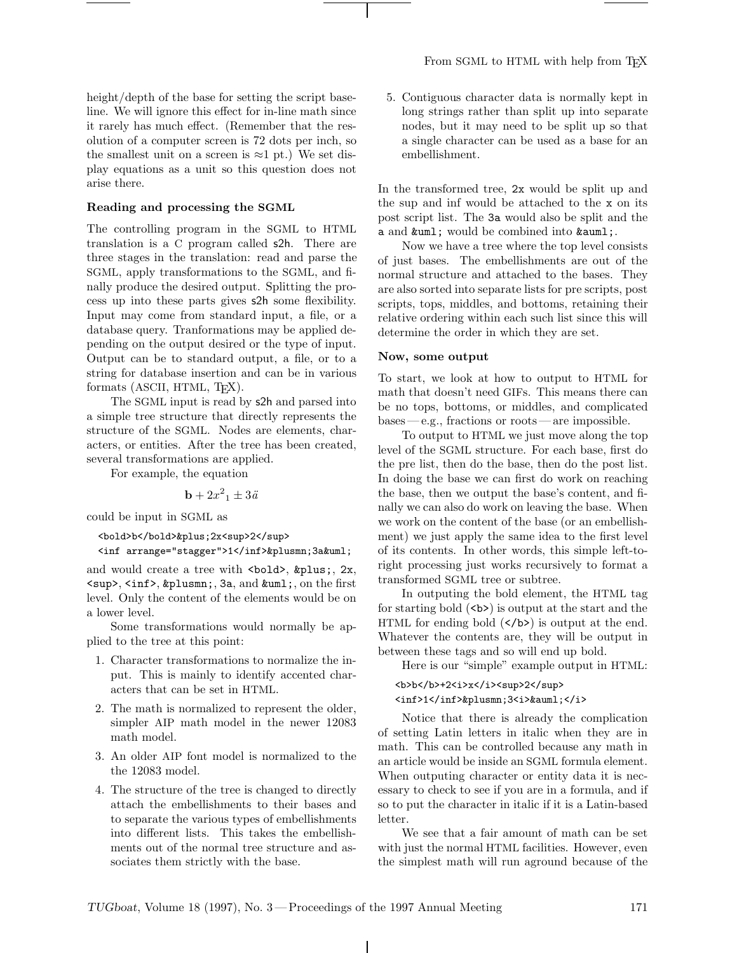height/depth of the base for setting the script baseline. We will ignore this effect for in-line math since it rarely has much effect. (Remember that the resolution of a computer screen is 72 dots per inch, so the smallest unit on a screen is  $\approx$ 1 pt.) We set display equations as a unit so this question does not arise there.

## **Reading and processing the SGML**

The controlling program in the SGML to HTML translation is a C program called s2h. There are three stages in the translation: read and parse the SGML, apply transformations to the SGML, and finally produce the desired output. Splitting the process up into these parts gives s2h some flexibility. Input may come from standard input, a file, or a database query. Tranformations may be applied depending on the output desired or the type of input. Output can be to standard output, a file, or to a string for database insertion and can be in various formats (ASCII, HTML, TEX).

The SGML input is read by s2h and parsed into a simple tree structure that directly represents the structure of the SGML. Nodes are elements, characters, or entities. After the tree has been created, several transformations are applied.

For example, the equation

$$
\mathbf{b} + 2x^2{}_1 \pm 3\ddot{a}
$$

could be input in SGML as

```
<bold>b</bold>&plus;2x<sup>2</sup>
<inf arrange="stagger">1</inf>&plusmn;3a&uml;
```
and would create a tree with  $\delta$ bold>, +, 2x, <sup>, <inf>, &plusmn;, 3a, and &uml;, on the first level. Only the content of the elements would be on a lower level.

Some transformations would normally be applied to the tree at this point:

- 1. Character transformations to normalize the input. This is mainly to identify accented characters that can be set in HTML.
- 2. The math is normalized to represent the older, simpler AIP math model in the newer 12083 math model.
- 3. An older AIP font model is normalized to the the 12083 model.
- 4. The structure of the tree is changed to directly attach the embellishments to their bases and to separate the various types of embellishments into different lists. This takes the embellishments out of the normal tree structure and associates them strictly with the base.

5. Contiguous character data is normally kept in long strings rather than split up into separate nodes, but it may need to be split up so that a single character can be used as a base for an embellishment.

In the transformed tree, 2x would be split up and the sup and inf would be attached to the x on its post script list. The 3a would also be split and the a and  $kum1$ ; would be combined into  $kamm1$ ;.

Now we have a tree where the top level consists of just bases. The embellishments are out of the normal structure and attached to the bases. They are also sorted into separate lists for pre scripts, post scripts, tops, middles, and bottoms, retaining their relative ordering within each such list since this will determine the order in which they are set.

## **Now, some output**

To start, we look at how to output to HTML for math that doesn't need GIFs. This means there can be no tops, bottoms, or middles, and complicated bases— e.g., fractions or roots—are impossible.

To output to HTML we just move along the top level of the SGML structure. For each base, first do the pre list, then do the base, then do the post list. In doing the base we can first do work on reaching the base, then we output the base's content, and finally we can also do work on leaving the base. When we work on the content of the base (or an embellishment) we just apply the same idea to the first level of its contents. In other words, this simple left-toright processing just works recursively to format a transformed SGML tree or subtree.

In outputing the bold element, the HTML tag for starting bold  $(\langle b \rangle)$  is output at the start and the HTML for ending bold  $(\langle b \rangle)$  is output at the end. Whatever the contents are, they will be output in between these tags and so will end up bold.

Here is our "simple" example output in HTML:

## <b>b</b>+2<i>x</i><sup>2</sup> <inf>1</inf>&plusmn;3<i>&auml;</i>

Notice that there is already the complication of setting Latin letters in italic when they are in math. This can be controlled because any math in an article would be inside an SGML formula element. When outputing character or entity data it is necessary to check to see if you are in a formula, and if so to put the character in italic if it is a Latin-based letter.

We see that a fair amount of math can be set with just the normal HTML facilities. However, even the simplest math will run aground because of the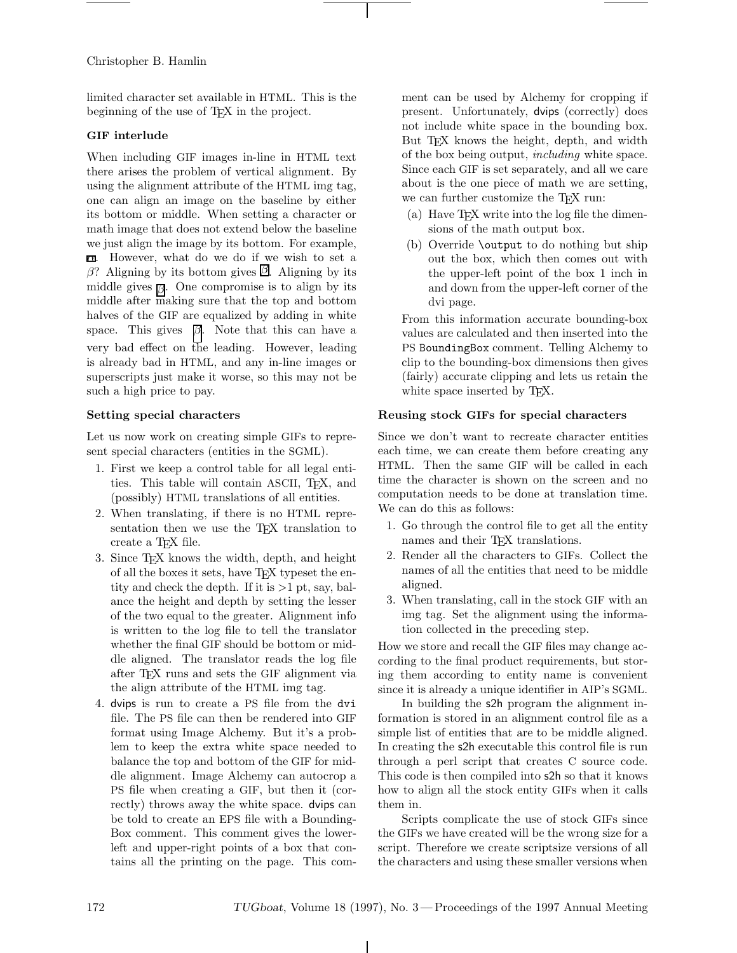Christopher B. Hamlin

limited character set available in HTML. This is the beginning of the use of TEX in the project.

## **GIF interlude**

When including GIF images in-line in HTML text there arises the problem of vertical alignment. By using the alignment attribute of the HTML img tag, one can align an image on the baseline by either its bottom or middle. When setting a character or math image that does not extend below the baseline we just align the image by its bottom. For example, α. However, what do we do if we wish to set a β? Aligning by its bottom gives  $\emptyset$ . Aligning by its middle gives  $\beta$ . One compromise is to align by its middle after making sure that the top and bottom halves of the GIF are equalized by adding in white space. This gives  $\beta$ . Note that this can have a very bad effect on the leading. However, leading is already bad in HTML, and any in-line images or superscripts just make it worse, so this may not be such a high price to pay.

## **Setting special characters**

Let us now work on creating simple GIFs to represent special characters (entities in the SGML).

- 1. First we keep a control table for all legal entities. This table will contain ASCII, TEX, and (possibly) HTML translations of all entities.
- 2. When translating, if there is no HTML representation then we use the TFX translation to create a T<sub>EX</sub> file.
- 3. Since TEX knows the width, depth, and height of all the boxes it sets, have TEX typeset the entity and check the depth. If it is  $>1$  pt, say, balance the height and depth by setting the lesser of the two equal to the greater. Alignment info is written to the log file to tell the translator whether the final GIF should be bottom or middle aligned. The translator reads the log file after TEX runs and sets the GIF alignment via the align attribute of the HTML img tag.
- 4. dvips is run to create a PS file from the dvi file. The PS file can then be rendered into GIF format using Image Alchemy. But it's a problem to keep the extra white space needed to balance the top and bottom of the GIF for middle alignment. Image Alchemy can autocrop a PS file when creating a GIF, but then it (correctly) throws away the white space. dvips can be told to create an EPS file with a Bounding-Box comment. This comment gives the lowerleft and upper-right points of a box that contains all the printing on the page. This com-

ment can be used by Alchemy for cropping if present. Unfortunately, dvips (correctly) does not include white space in the bounding box. But T<sub>E</sub>X knows the height, depth, and width of the box being output, including white space. Since each GIF is set separately, and all we care about is the one piece of math we are setting, we can further customize the TEX run:

- (a) Have TEX write into the log file the dimensions of the math output box.
- (b) Override \output to do nothing but ship out the box, which then comes out with the upper-left point of the box 1 inch in and down from the upper-left corner of the dvi page.

From this information accurate bounding-box values are calculated and then inserted into the PS BoundingBox comment. Telling Alchemy to clip to the bounding-box dimensions then gives (fairly) accurate clipping and lets us retain the white space inserted by T<sub>E</sub>X.

## **Reusing stock GIFs for special characters**

Since we don't want to recreate character entities each time, we can create them before creating any HTML. Then the same GIF will be called in each time the character is shown on the screen and no computation needs to be done at translation time. We can do this as follows:

- 1. Go through the control file to get all the entity names and their TEX translations.
- 2. Render all the characters to GIFs. Collect the names of all the entities that need to be middle aligned.
- 3. When translating, call in the stock GIF with an img tag. Set the alignment using the information collected in the preceding step.

How we store and recall the GIF files may change according to the final product requirements, but storing them according to entity name is convenient since it is already a unique identifier in AIP's SGML.

In building the s2h program the alignment information is stored in an alignment control file as a simple list of entities that are to be middle aligned. In creating the s2h executable this control file is run through a perl script that creates C source code. This code is then compiled into s2h so that it knows how to align all the stock entity GIFs when it calls them in.

Scripts complicate the use of stock GIFs since the GIFs we have created will be the wrong size for a script. Therefore we create scriptsize versions of all the characters and using these smaller versions when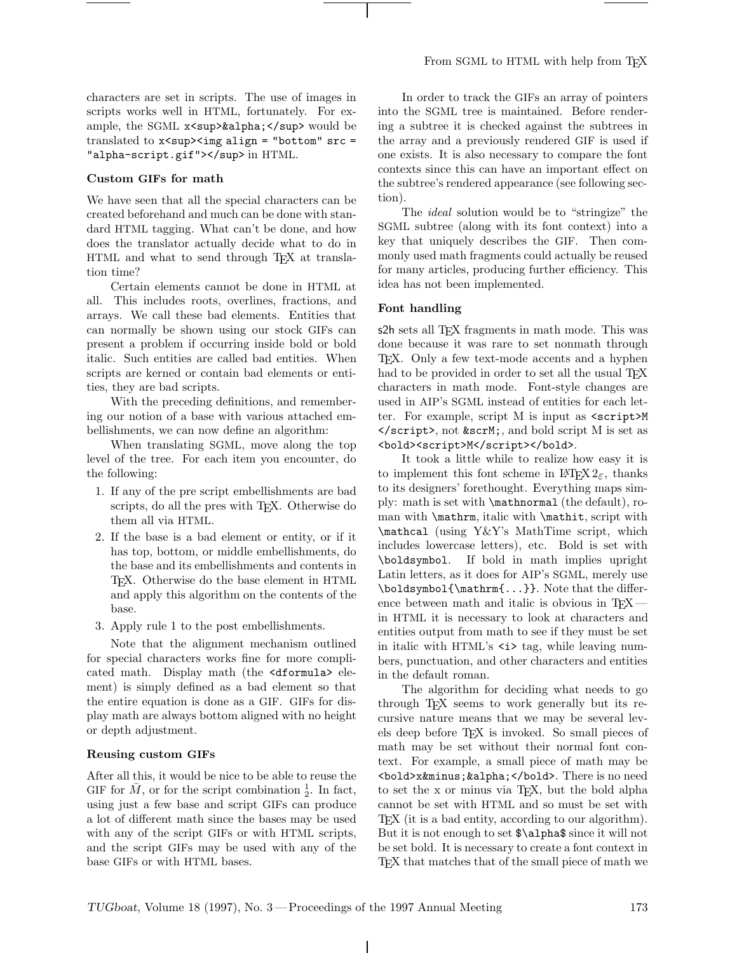characters are set in scripts. The use of images in scripts works well in HTML, fortunately. For example, the SGML x<sup><sup>&alpha;</sup> would be</sup> translated to x<sup><img align = "bottom" src = "alpha-script.gif"></sup> in HTML.

## **Custom GIFs for math**

We have seen that all the special characters can be created beforehand and much can be done with standard HTML tagging. What can't be done, and how does the translator actually decide what to do in HTML and what to send through TEX at translation time?

Certain elements cannot be done in HTML at all. This includes roots, overlines, fractions, and arrays. We call these bad elements. Entities that can normally be shown using our stock GIFs can present a problem if occurring inside bold or bold italic. Such entities are called bad entities. When scripts are kerned or contain bad elements or entities, they are bad scripts.

With the preceding definitions, and remembering our notion of a base with various attached embellishments, we can now define an algorithm:

When translating SGML, move along the top level of the tree. For each item you encounter, do the following:

- 1. If any of the pre script embellishments are bad scripts, do all the pres with T<sub>E</sub>X. Otherwise do them all via HTML.
- 2. If the base is a bad element or entity, or if it has top, bottom, or middle embellishments, do the base and its embellishments and contents in TEX. Otherwise do the base element in HTML and apply this algorithm on the contents of the base.
- 3. Apply rule 1 to the post embellishments.

Note that the alignment mechanism outlined for special characters works fine for more complicated math. Display math (the <dformula> element) is simply defined as a bad element so that the entire equation is done as a GIF. GIFs for display math are always bottom aligned with no height or depth adjustment.

#### **Reusing custom GIFs**

After all this, it would be nice to be able to reuse the GIF for  $\overline{M}$ , or for the script combination  $\frac{1}{2}$ . In fact, using just a few base and script GIFs can produce a lot of different math since the bases may be used with any of the script GIFs or with HTML scripts, and the script GIFs may be used with any of the base GIFs or with HTML bases.

In order to track the GIFs an array of pointers into the SGML tree is maintained. Before rendering a subtree it is checked against the subtrees in the array and a previously rendered GIF is used if one exists. It is also necessary to compare the font contexts since this can have an important effect on the subtree's rendered appearance (see following section).

The *ideal* solution would be to "stringize" the SGML subtree (along with its font context) into a key that uniquely describes the GIF. Then commonly used math fragments could actually be reused for many articles, producing further efficiency. This idea has not been implemented.

## **Font handling**

s2h sets all T<sub>EX</sub> fragments in math mode. This was done because it was rare to set nonmath through TEX. Only a few text-mode accents and a hyphen had to be provided in order to set all the usual T<sub>EX</sub> characters in math mode. Font-style changes are used in AIP's SGML instead of entities for each letter. For example, script M is input as <script>M  $\langle$  script>, not &scrM;, and bold script M is set as <bold><script>M</script></bold>.

It took a little while to realize how easy it is to implement this font scheme in  $\text{LATEX} 2_{\epsilon}$ , thanks to its designers' forethought. Everything maps simply: math is set with \mathnormal (the default), roman with \mathrm, italic with \mathit, script with \mathcal (using Y&Y's MathTime script, which includes lowercase letters), etc. Bold is set with \boldsymbol. If bold in math implies upright Latin letters, as it does for AIP's SGML, merely use \boldsymbol{\mathrm{...}}. Note that the difference between math and italic is obvious in  $T_FX$  in HTML it is necessary to look at characters and entities output from math to see if they must be set in italic with HTML's  $\langle i \rangle$  tag, while leaving numbers, punctuation, and other characters and entities in the default roman.

The algorithm for deciding what needs to go through TEX seems to work generally but its recursive nature means that we may be several levels deep before TEX is invoked. So small pieces of math may be set without their normal font context. For example, a small piece of math may be <bold>x&minus;&alpha;</bold>. There is no need to set the x or minus via TEX, but the bold alpha cannot be set with HTML and so must be set with TEX (it is a bad entity, according to our algorithm). But it is not enough to set \$\alpha\$ since it will not be set bold. It is necessary to create a font context in TEX that matches that of the small piece of math we